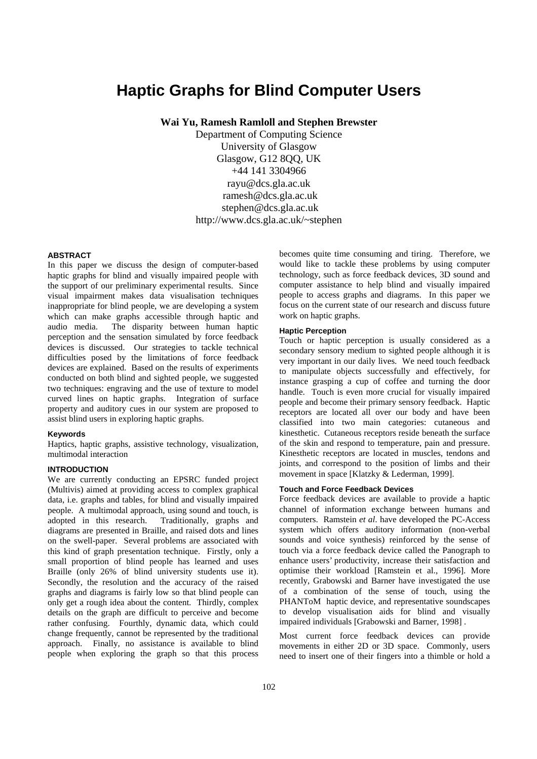# **Haptic Graphs for Blind Computer Users**

**Wai Yu, Ramesh Ramloll and Stephen Brewster** 

Department of Computing Science University of Glasgow Glasgow, G12 8QQ, UK +44 141 3304966 rayu@dcs.gla.ac.uk ramesh@dcs.gla.ac.uk stephen@dcs.gla.ac.uk http://www.dcs.gla.ac.uk/~stephen

#### **ABSTRACT**

In this paper we discuss the design of computer-based haptic graphs for blind and visually impaired people with the support of our preliminary experimental results. Since visual impairment makes data visualisation techniques inappropriate for blind people, we are developing a system which can make graphs accessible through haptic and audio media. The disparity between human haptic perception and the sensation simulated by force feedback devices is discussed. Our strategies to tackle technical difficulties posed by the limitations of force feedback devices are explained. Based on the results of experiments conducted on both blind and sighted people, we suggested two techniques: engraving and the use of texture to model curved lines on haptic graphs. Integration of surface property and auditory cues in our system are proposed to assist blind users in exploring haptic graphs.

#### **Keywords**

Haptics, haptic graphs, assistive technology, visualization, multimodal interaction

# **INTRODUCTION**

We are currently conducting an EPSRC funded project (Multivis) aimed at providing access to complex graphical data, i.e. graphs and tables, for blind and visually impaired people. A multimodal approach, using sound and touch, is Traditionally, graphs and diagrams are presented in Braille, and raised dots and lines on the swell-paper. Several problems are associated with this kind of graph presentation technique. Firstly, only a small proportion of blind people has learned and uses Braille (only 26% of blind university students use it). Secondly, the resolution and the accuracy of the raised graphs and diagrams is fairly low so that blind people can only get a rough idea about the content. Thirdly, complex details on the graph are difficult to perceive and become rather confusing. Fourthly, dynamic data, which could change frequently, cannot be represented by the traditional approach. Finally, no assistance is available to blind people when exploring the graph so that this process

becomes quite time consuming and tiring. Therefore, we would like to tackle these problems by using computer technology, such as force feedback devices, 3D sound and computer assistance to help blind and visually impaired people to access graphs and diagrams. In this paper we focus on the current state of our research and discuss future work on haptic graphs.

## **Haptic Perception**

Touch or haptic perception is usually considered as a secondary sensory medium to sighted people although it is very important in our daily lives. We need touch feedback to manipulate objects successfully and effectively, for instance grasping a cup of coffee and turning the door handle. Touch is even more crucial for visually impaired people and become their primary sensory feedback. Haptic receptors are located all over our body and have been classified into two main categories: cutaneous and kinesthetic. Cutaneous receptors reside beneath the surface of the skin and respond to temperature, pain and pressure. Kinesthetic receptors are located in muscles, tendons and joints, and correspond to the position of limbs and their movement in space [Klatzky & Lederman, 1999].

## **Touch and Force Feedback Devices**

Force feedback devices are available to provide a haptic channel of information exchange between humans and computers. Ramstein *et al*. have developed the PC-Access system which offers auditory information (non-verbal sounds and voice synthesis) reinforced by the sense of touch via a force feedback device called the Panograph to enhance users' productivity, increase their satisfaction and optimise their workload [Ramstein et al., 1996]. More recently, Grabowski and Barner have investigated the use of a combination of the sense of touch, using the PHANToM haptic device, and representative soundscapes to develop visualisation aids for blind and visually impaired individuals [Grabowski and Barner, 1998] .

Most current force feedback devices can provide movements in either 2D or 3D space. Commonly, users need to insert one of their fingers into a thimble or hold a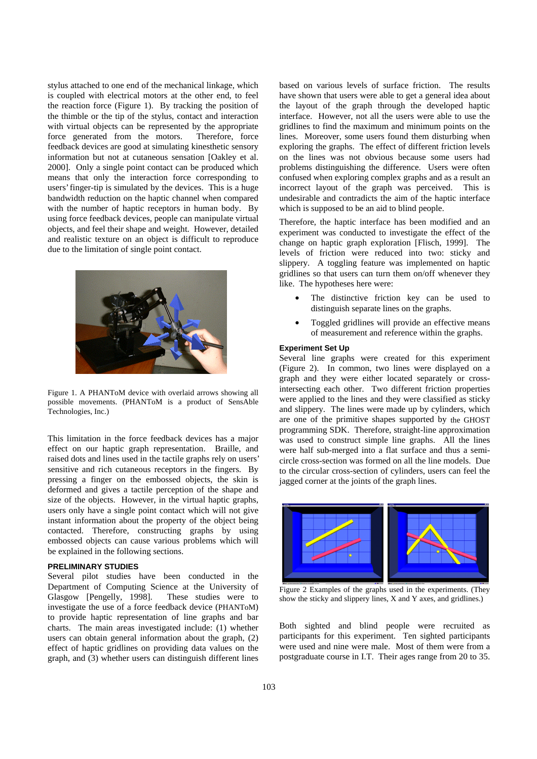stylus attached to one end of the mechanical linkage, which is coupled with electrical motors at the other end, to feel the reaction force (Figure 1). By tracking the position of the thimble or the tip of the stylus, contact and interaction with virtual objects can be represented by the appropriate force generated from the motors. Therefore, force feedback devices are good at simulating kinesthetic sensory information but not at cutaneous sensation [Oakley et al. 2000]. Only a single point contact can be produced which means that only the interaction force corresponding to users' finger-tip is simulated by the devices. This is a huge bandwidth reduction on the haptic channel when compared with the number of haptic receptors in human body. By using force feedback devices, people can manipulate virtual objects, and feel their shape and weight. However, detailed and realistic texture on an object is difficult to reproduce due to the limitation of single point contact.



Figure 1. A PHANToM device with overlaid arrows showing all possible movements. (PHANToM is a product of SensAble Technologies, Inc.)

This limitation in the force feedback devices has a major effect on our haptic graph representation. Braille, and raised dots and lines used in the tactile graphs rely on users' sensitive and rich cutaneous receptors in the fingers. By pressing a finger on the embossed objects, the skin is deformed and gives a tactile perception of the shape and size of the objects. However, in the virtual haptic graphs, users only have a single point contact which will not give instant information about the property of the object being contacted. Therefore, constructing graphs by using embossed objects can cause various problems which will be explained in the following sections.

## **PRELIMINARY STUDIES**

Several pilot studies have been conducted in the Department of Computing Science at the University of Glasgow [Pengelly, 1998]. These studies were to investigate the use of a force feedback device (PHANToM) to provide haptic representation of line graphs and bar charts. The main areas investigated include: (1) whether users can obtain general information about the graph, (2) effect of haptic gridlines on providing data values on the graph, and (3) whether users can distinguish different lines

based on various levels of surface friction. The results have shown that users were able to get a general idea about the layout of the graph through the developed haptic interface. However, not all the users were able to use the gridlines to find the maximum and minimum points on the lines. Moreover, some users found them disturbing when exploring the graphs. The effect of different friction levels on the lines was not obvious because some users had problems distinguishing the difference. Users were often confused when exploring complex graphs and as a result an incorrect layout of the graph was perceived. This is undesirable and contradicts the aim of the haptic interface which is supposed to be an aid to blind people.

Therefore, the haptic interface has been modified and an experiment was conducted to investigate the effect of the change on haptic graph exploration [Flisch, 1999]. The levels of friction were reduced into two: sticky and slippery. A toggling feature was implemented on haptic gridlines so that users can turn them on/off whenever they like. The hypotheses here were:

- The distinctive friction key can be used to distinguish separate lines on the graphs.
- Toggled gridlines will provide an effective means of measurement and reference within the graphs.

#### **Experiment Set Up**

Several line graphs were created for this experiment (Figure 2). In common, two lines were displayed on a graph and they were either located separately or crossintersecting each other. Two different friction properties were applied to the lines and they were classified as sticky and slippery. The lines were made up by cylinders, which are one of the primitive shapes supported by the GHOST programming SDK. Therefore, straight-line approximation was used to construct simple line graphs. All the lines were half sub-merged into a flat surface and thus a semicircle cross-section was formed on all the line models. Due to the circular cross-section of cylinders, users can feel the jagged corner at the joints of the graph lines.



Figure 2 Examples of the graphs used in the experiments. (They show the sticky and slippery lines, X and Y axes, and gridlines.)

Both sighted and blind people were recruited as participants for this experiment. Ten sighted participants were used and nine were male. Most of them were from a postgraduate course in I.T. Their ages range from 20 to 35.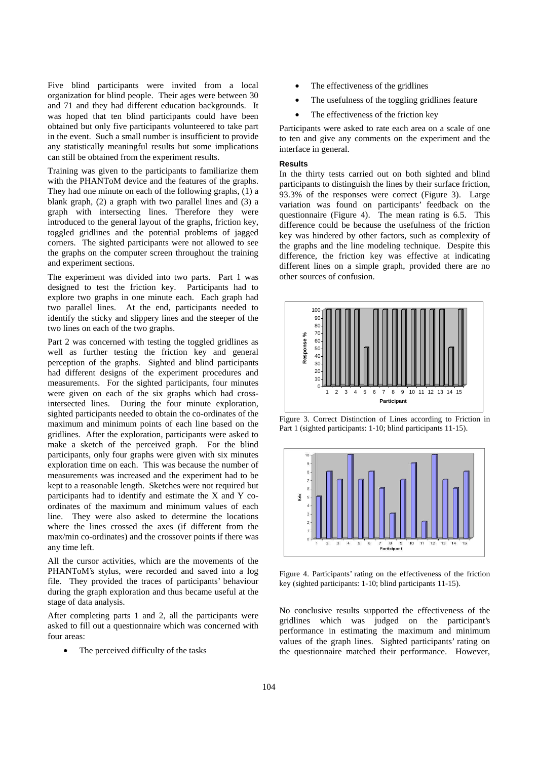Five blind participants were invited from a local organization for blind people. Their ages were between 30 and 71 and they had different education backgrounds. It was hoped that ten blind participants could have been obtained but only five participants volunteered to take part in the event. Such a small number is insufficient to provide any statistically meaningful results but some implications can still be obtained from the experiment results.

Training was given to the participants to familiarize them with the PHANToM device and the features of the graphs. They had one minute on each of the following graphs, (1) a blank graph, (2) a graph with two parallel lines and (3) a graph with intersecting lines. Therefore they were introduced to the general layout of the graphs, friction key, toggled gridlines and the potential problems of jagged corners. The sighted participants were not allowed to see the graphs on the computer screen throughout the training and experiment sections.

The experiment was divided into two parts. Part 1 was designed to test the friction key. Participants had to explore two graphs in one minute each. Each graph had two parallel lines. At the end, participants needed to identify the sticky and slippery lines and the steeper of the two lines on each of the two graphs.

Part 2 was concerned with testing the toggled gridlines as well as further testing the friction key and general perception of the graphs. Sighted and blind participants had different designs of the experiment procedures and measurements. For the sighted participants, four minutes were given on each of the six graphs which had crossintersected lines. During the four minute exploration, sighted participants needed to obtain the co-ordinates of the maximum and minimum points of each line based on the gridlines. After the exploration, participants were asked to make a sketch of the perceived graph. For the blind participants, only four graphs were given with six minutes exploration time on each. This was because the number of measurements was increased and the experiment had to be kept to a reasonable length. Sketches were not required but participants had to identify and estimate the X and Y coordinates of the maximum and minimum values of each line. They were also asked to determine the locations where the lines crossed the axes (if different from the max/min co-ordinates) and the crossover points if there was any time left.

All the cursor activities, which are the movements of the PHANToM's stylus, were recorded and saved into a log file. They provided the traces of participants' behaviour during the graph exploration and thus became useful at the stage of data analysis.

After completing parts 1 and 2, all the participants were asked to fill out a questionnaire which was concerned with four areas:

The perceived difficulty of the tasks

- The effectiveness of the gridlines
- The usefulness of the toggling gridlines feature
- The effectiveness of the friction key

Participants were asked to rate each area on a scale of one to ten and give any comments on the experiment and the interface in general.

### **Results**

In the thirty tests carried out on both sighted and blind participants to distinguish the lines by their surface friction, 93.3% of the responses were correct (Figure 3). Large variation was found on participants' feedback on the questionnaire (Figure 4). The mean rating is 6.5. This difference could be because the usefulness of the friction key was hindered by other factors, such as complexity of the graphs and the line modeling technique. Despite this difference, the friction key was effective at indicating different lines on a simple graph, provided there are no other sources of confusion.



Figure 3. Correct Distinction of Lines according to Friction in Part 1 (sighted participants: 1-10; blind participants 11-15).



Figure 4. Participants' rating on the effectiveness of the friction key (sighted participants: 1-10; blind participants 11-15).

No conclusive results supported the effectiveness of the gridlines which was judged on the participant's performance in estimating the maximum and minimum values of the graph lines. Sighted participants' rating on the questionnaire matched their performance. However,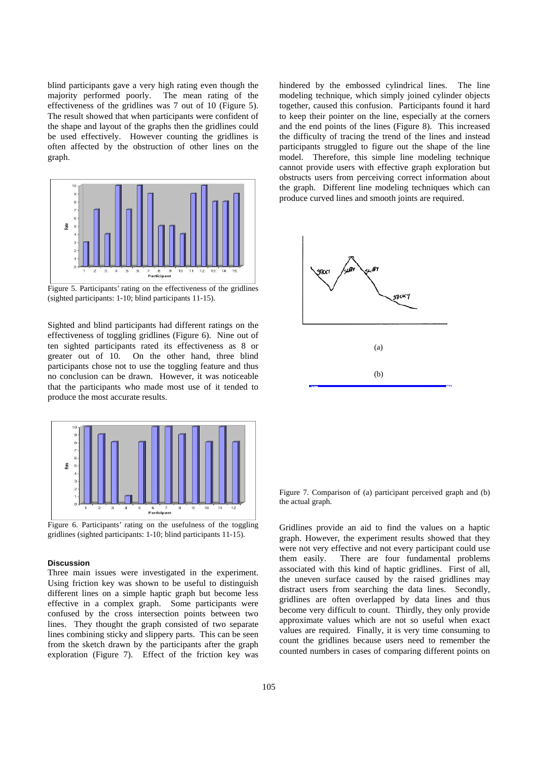blind participants gave a very high rating even though the majority performed poorly. The mean rating of the effectiveness of the gridlines was 7 out of 10 (Figure 5). The result showed that when participants were confident of the shape and layout of the graphs then the gridlines could be used effectively. However counting the gridlines is often affected by the obstruction of other lines on the graph.



Figure 5. Participants' rating on the effectiveness of the gridlines (sighted participants: 1-10; blind participants 11-15).

Sighted and blind participants had different ratings on the effectiveness of toggling gridlines (Figure 6). Nine out of ten sighted participants rated its effectiveness as 8 or greater out of 10. On the other hand, three blind participants chose not to use the toggling feature and thus no conclusion can be drawn. However, it was noticeable that the participants who made most use of it tended to produce the most accurate results.



Figure 6. Participants' rating on the usefulness of the toggling gridlines (sighted participants: 1-10; blind participants 11-15).

#### **Discussion**

Three main issues were investigated in the experiment. Using friction key was shown to be useful to distinguish different lines on a simple haptic graph but become less effective in a complex graph. Some participants were confused by the cross intersection points between two lines. They thought the graph consisted of two separate lines combining sticky and slippery parts. This can be seen from the sketch drawn by the participants after the graph exploration (Figure 7). Effect of the friction key was hindered by the embossed cylindrical lines. The line modeling technique, which simply joined cylinder objects together, caused this confusion. Participants found it hard to keep their pointer on the line, especially at the corners and the end points of the lines (Figure 8). This increased the difficulty of tracing the trend of the lines and instead participants struggled to figure out the shape of the line model. Therefore, this simple line modeling technique cannot provide users with effective graph exploration but obstructs users from perceiving correct information about the graph. Different line modeling techniques which can produce curved lines and smooth joints are required.



Figure 7. Comparison of (a) participant perceived graph and (b) the actual graph.

Gridlines provide an aid to find the values on a haptic graph. However, the experiment results showed that they were not very effective and not every participant could use them easily. There are four fundamental problems associated with this kind of haptic gridlines. First of all, the uneven surface caused by the raised gridlines may distract users from searching the data lines. Secondly, gridlines are often overlapped by data lines and thus become very difficult to count. Thirdly, they only provide approximate values which are not so useful when exact values are required. Finally, it is very time consuming to count the gridlines because users need to remember the counted numbers in cases of comparing different points on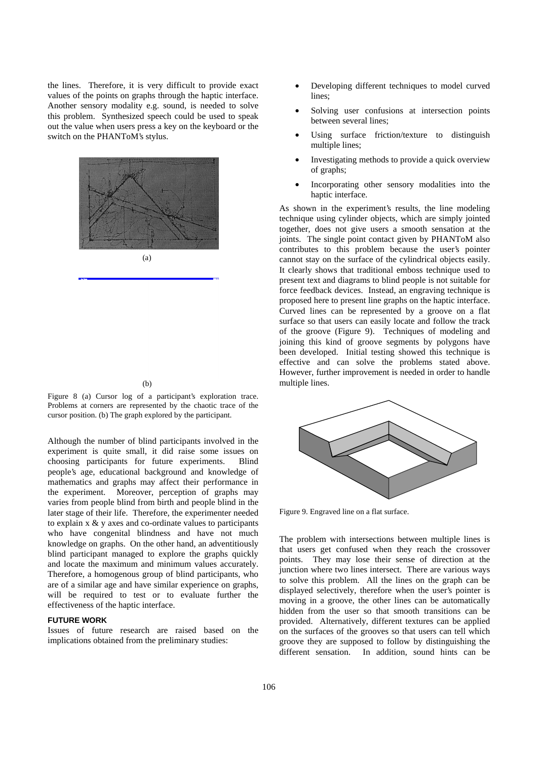the lines. Therefore, it is very difficult to provide exact values of the points on graphs through the haptic interface. Another sensory modality e.g. sound, is needed to solve this problem. Synthesized speech could be used to speak out the value when users press a key on the keyboard or the switch on the PHANToM's stylus.



 $(h)$ 

Figure 8 (a) Cursor log of a participant's exploration trace. Problems at corners are represented by the chaotic trace of the cursor position. (b) The graph explored by the participant.

Although the number of blind participants involved in the experiment is quite small, it did raise some issues on choosing participants for future experiments. Blind people's age, educational background and knowledge of mathematics and graphs may affect their performance in the experiment. Moreover, perception of graphs may varies from people blind from birth and people blind in the later stage of their life. Therefore, the experimenter needed to explain x & y axes and co-ordinate values to participants who have congenital blindness and have not much knowledge on graphs. On the other hand, an adventitiously blind participant managed to explore the graphs quickly and locate the maximum and minimum values accurately. Therefore, a homogenous group of blind participants, who are of a similar age and have similar experience on graphs, will be required to test or to evaluate further the effectiveness of the haptic interface.

# **FUTURE WORK**

Issues of future research are raised based on the implications obtained from the preliminary studies:

- Developing different techniques to model curved lines;
- Solving user confusions at intersection points between several lines;
- Using surface friction/texture to distinguish multiple lines;
- Investigating methods to provide a quick overview of graphs;
- Incorporating other sensory modalities into the haptic interface.

As shown in the experiment's results, the line modeling technique using cylinder objects, which are simply jointed together, does not give users a smooth sensation at the joints. The single point contact given by PHANToM also contributes to this problem because the user's pointer cannot stay on the surface of the cylindrical objects easily. It clearly shows that traditional emboss technique used to present text and diagrams to blind people is not suitable for force feedback devices. Instead, an engraving technique is proposed here to present line graphs on the haptic interface. Curved lines can be represented by a groove on a flat surface so that users can easily locate and follow the track of the groove (Figure 9). Techniques of modeling and joining this kind of groove segments by polygons have been developed. Initial testing showed this technique is effective and can solve the problems stated above. However, further improvement is needed in order to handle multiple lines.



Figure 9. Engraved line on a flat surface.

The problem with intersections between multiple lines is that users get confused when they reach the crossover points. They may lose their sense of direction at the junction where two lines intersect. There are various ways to solve this problem. All the lines on the graph can be displayed selectively, therefore when the user's pointer is moving in a groove, the other lines can be automatically hidden from the user so that smooth transitions can be provided. Alternatively, different textures can be applied on the surfaces of the grooves so that users can tell which groove they are supposed to follow by distinguishing the different sensation. In addition, sound hints can be